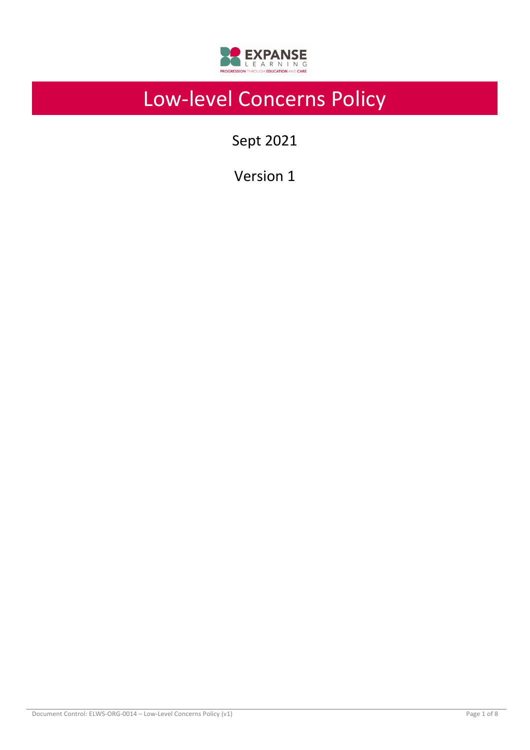

# Low-level Concerns Policy

Sept 2021

Version 1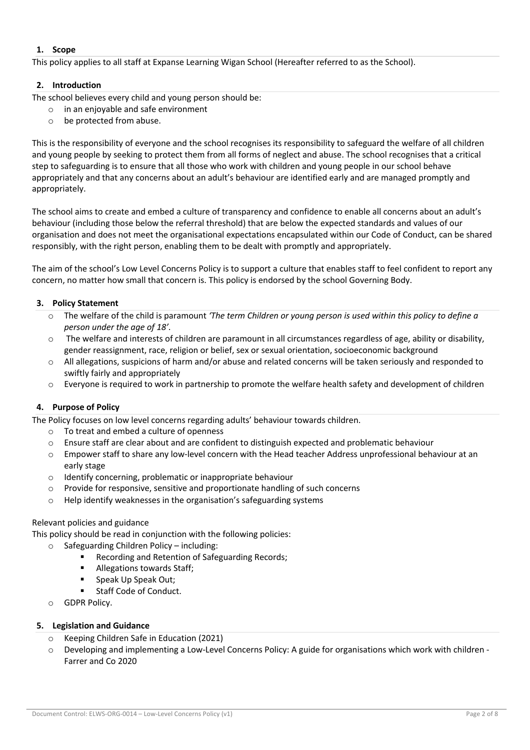### **1. Scope**

This policy applies to all staff at Expanse Learning Wigan School (Hereafter referred to as the School).

#### **2. Introduction**

The school believes every child and young person should be:

- o in an enjoyable and safe environment
- o be protected from abuse.

This is the responsibility of everyone and the school recognises its responsibility to safeguard the welfare of all children and young people by seeking to protect them from all forms of neglect and abuse. The school recognises that a critical step to safeguarding is to ensure that all those who work with children and young people in our school behave appropriately and that any concerns about an adult's behaviour are identified early and are managed promptly and appropriately.

The school aims to create and embed a culture of transparency and confidence to enable all concerns about an adult's behaviour (including those below the referral threshold) that are below the expected standards and values of our organisation and does not meet the organisational expectations encapsulated within our Code of Conduct, can be shared responsibly, with the right person, enabling them to be dealt with promptly and appropriately.

The aim of the school's Low Level Concerns Policy is to support a culture that enables staff to feel confident to report any concern, no matter how small that concern is. This policy is endorsed by the school Governing Body.

#### **3. Policy Statement**

- o The welfare of the child is paramount *'The term Children or young person is used within this policy to define a person under the age of 18'*.
- $\circ$  The welfare and interests of children are paramount in all circumstances regardless of age, ability or disability, gender reassignment, race, religion or belief, sex or sexual orientation, socioeconomic background
- $\circ$  All allegations, suspicions of harm and/or abuse and related concerns will be taken seriously and responded to swiftly fairly and appropriately
- o Everyone is required to work in partnership to promote the welfare health safety and development of children

# **4. Purpose of Policy**

The Policy focuses on low level concerns regarding adults' behaviour towards children.

- o To treat and embed a culture of openness
- o Ensure staff are clear about and are confident to distinguish expected and problematic behaviour
- o Empower staff to share any low-level concern with the Head teacher Address unprofessional behaviour at an early stage
- o Identify concerning, problematic or inappropriate behaviour
- o Provide for responsive, sensitive and proportionate handling of such concerns
- o Help identify weaknesses in the organisation's safeguarding systems

#### Relevant policies and guidance

This policy should be read in conjunction with the following policies:

- Safeguarding Children Policy including:
	- Recording and Retention of Safeguarding Records;
	- Allegations towards Staff;
	- Speak Up Speak Out;
	- § Staff Code of Conduct.
- o GDPR Policy.

# **5. Legislation and Guidance**

- o Keeping Children Safe in Education (2021)
- $\circ$  Developing and implementing a Low-Level Concerns Policy: A guide for organisations which work with children -Farrer and Co 2020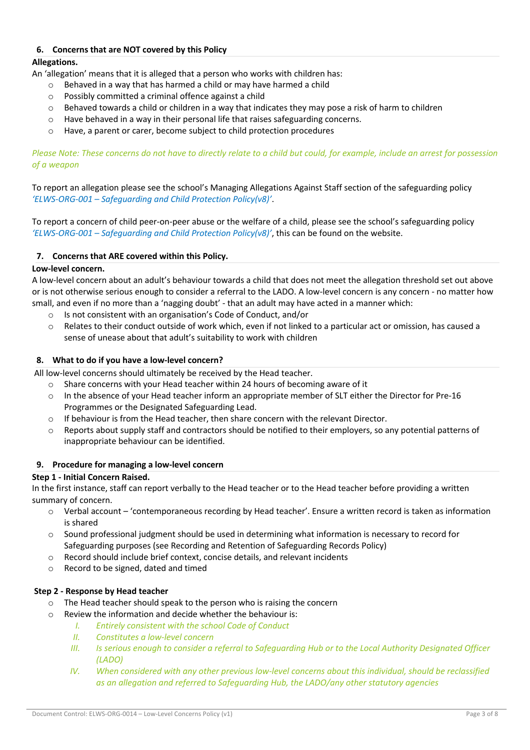# **6. Concerns that are NOT covered by this Policy**

# **Allegations.**

An 'allegation' means that it is alleged that a person who works with children has:

- o Behaved in a way that has harmed a child or may have harmed a child
- o Possibly committed a criminal offence against a child
- o Behaved towards a child or children in a way that indicates they may pose a risk of harm to children
- $\circ$  Have behaved in a way in their personal life that raises safeguarding concerns.
- o Have, a parent or carer, become subject to child protection procedures

*Please Note: These concerns do not have to directly relate to a child but could, for example, include an arrest for possession of a weapon* 

To report an allegation please see the school's Managing Allegations Against Staff section of the safeguarding policy *'ELWS-ORG-001 – Safeguarding and Child Protection Policy(v8)'*.

To report a concern of child peer-on-peer abuse or the welfare of a child, please see the school's safeguarding policy *'ELWS-ORG-001 – Safeguarding and Child Protection Policy(v8)'*, this can be found on the website.

# **7. Concerns that ARE covered within this Policy.**

# **Low-level concern.**

A low-level concern about an adult's behaviour towards a child that does not meet the allegation threshold set out above or is not otherwise serious enough to consider a referral to the LADO. A low-level concern is any concern - no matter how small, and even if no more than a 'nagging doubt' - that an adult may have acted in a manner which:

- o Is not consistent with an organisation's Code of Conduct, and/or
- o Relates to their conduct outside of work which, even if not linked to a particular act or omission, has caused a sense of unease about that adult's suitability to work with children

# **8. What to do if you have a low-level concern?**

All low-level concerns should ultimately be received by the Head teacher.

- $\circ$  Share concerns with your Head teacher within 24 hours of becoming aware of it
- $\circ$  In the absence of your Head teacher inform an appropriate member of SLT either the Director for Pre-16 Programmes or the Designated Safeguarding Lead.
- $\circ$  If behaviour is from the Head teacher, then share concern with the relevant Director.
- o Reports about supply staff and contractors should be notified to their employers, so any potential patterns of inappropriate behaviour can be identified.

# **9. Procedure for managing a low-level concern**

# **Step 1 - Initial Concern Raised.**

In the first instance, staff can report verbally to the Head teacher or to the Head teacher before providing a written summary of concern.

- o Verbal account 'contemporaneous recording by Head teacher'. Ensure a written record is taken as information is shared
- $\circ$  Sound professional judgment should be used in determining what information is necessary to record for Safeguarding purposes (see Recording and Retention of Safeguarding Records Policy)
- o Record should include brief context, concise details, and relevant incidents
- o Record to be signed, dated and timed

# **Step 2 - Response by Head teacher**

- o The Head teacher should speak to the person who is raising the concern
- o Review the information and decide whether the behaviour is:
	- *I. Entirely consistent with the school Code of Conduct*
	- *II. Constitutes a low-level concern*
	- *III. Is serious enough to consider a referral to Safeguarding Hub or to the Local Authority Designated Officer (LADO)*
	- *IV.* When considered with any other previous low-level concerns about this individual, should be reclassified *as an allegation and referred to Safeguarding Hub, the LADO/any other statutory agencies*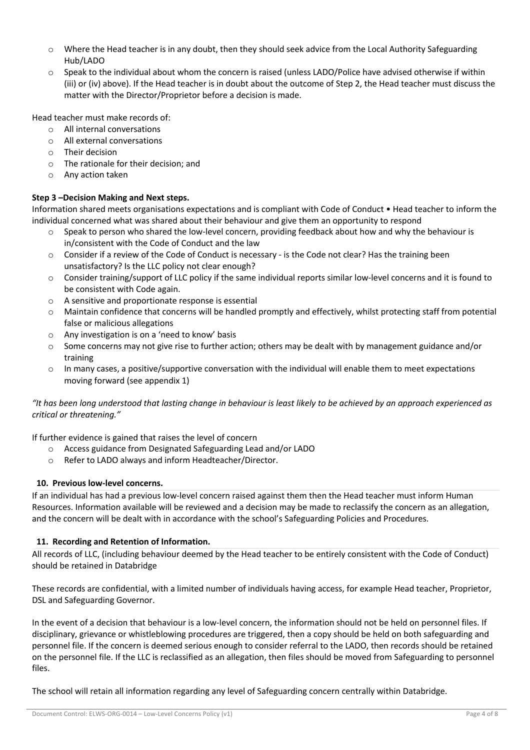- Where the Head teacher is in any doubt, then they should seek advice from the Local Authority Safeguarding Hub/LADO
- o Speak to the individual about whom the concern is raised (unless LADO/Police have advised otherwise if within (iii) or (iv) above). If the Head teacher is in doubt about the outcome of Step 2, the Head teacher must discuss the matter with the Director/Proprietor before a decision is made.

Head teacher must make records of:

- o All internal conversations
- o All external conversations
- o Their decision
- o The rationale for their decision; and
- o Any action taken

# **Step 3 –Decision Making and Next steps.**

Information shared meets organisations expectations and is compliant with Code of Conduct • Head teacher to inform the individual concerned what was shared about their behaviour and give them an opportunity to respond

- Speak to person who shared the low-level concern, providing feedback about how and why the behaviour is in/consistent with the Code of Conduct and the law
- $\circ$  Consider if a review of the Code of Conduct is necessary is the Code not clear? Has the training been unsatisfactory? Is the LLC policy not clear enough?
- $\circ$  Consider training/support of LLC policy if the same individual reports similar low-level concerns and it is found to be consistent with Code again.
- o A sensitive and proportionate response is essential
- Maintain confidence that concerns will be handled promptly and effectively, whilst protecting staff from potential false or malicious allegations
- o Any investigation is on a 'need to know' basis
- o Some concerns may not give rise to further action; others may be dealt with by management guidance and/or training
- o In many cases, a positive/supportive conversation with the individual will enable them to meet expectations moving forward (see appendix 1)

# *"It has been long understood that lasting change in behaviour is least likely to be achieved by an approach experienced as critical or threatening."*

If further evidence is gained that raises the level of concern

- o Access guidance from Designated Safeguarding Lead and/or LADO
- o Refer to LADO always and inform Headteacher/Director.

# **10. Previous low-level concerns.**

If an individual has had a previous low-level concern raised against them then the Head teacher must inform Human Resources. Information available will be reviewed and a decision may be made to reclassify the concern as an allegation, and the concern will be dealt with in accordance with the school's Safeguarding Policies and Procedures.

# **11. Recording and Retention of Information.**

All records of LLC, (including behaviour deemed by the Head teacher to be entirely consistent with the Code of Conduct) should be retained in Databridge

These records are confidential, with a limited number of individuals having access, for example Head teacher, Proprietor, DSL and Safeguarding Governor.

In the event of a decision that behaviour is a low-level concern, the information should not be held on personnel files. If disciplinary, grievance or whistleblowing procedures are triggered, then a copy should be held on both safeguarding and personnel file. If the concern is deemed serious enough to consider referral to the LADO, then records should be retained on the personnel file. If the LLC is reclassified as an allegation, then files should be moved from Safeguarding to personnel files.

The school will retain all information regarding any level of Safeguarding concern centrally within Databridge.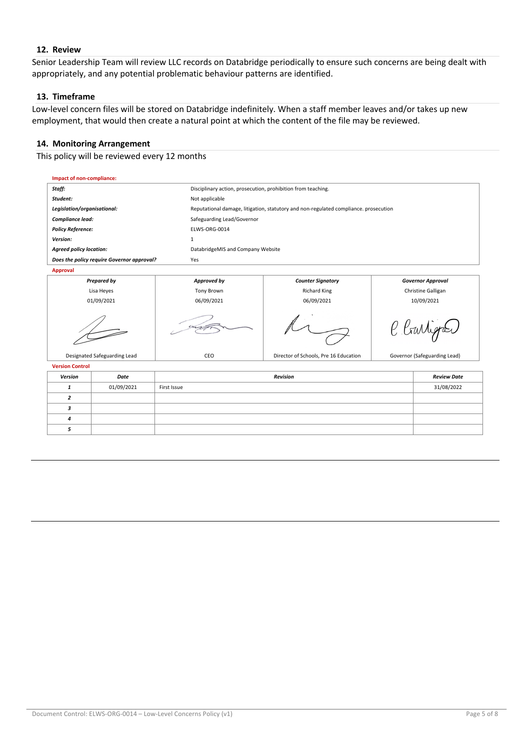### **12. Review**

Senior Leadership Team will review LLC records on Databridge periodically to ensure such concerns are being dealt with appropriately, and any potential problematic behaviour patterns are identified.

### **13. Timeframe**

Low-level concern files will be stored on Databridge indefinitely. When a staff member leaves and/or takes up new employment, that would then create a natural point at which the content of the file may be reviewed.

# **14. Monitoring Arrangement**

This policy will be reviewed every 12 months

| Impact of non-compliance:                  |            |                                       |                                                                                      |                              |  |  |
|--------------------------------------------|------------|---------------------------------------|--------------------------------------------------------------------------------------|------------------------------|--|--|
| Staff:                                     |            |                                       | Disciplinary action, prosecution, prohibition from teaching.                         |                              |  |  |
| Student:                                   |            | Not applicable                        |                                                                                      |                              |  |  |
| Legislation/organisational:                |            |                                       | Reputational damage, litigation, statutory and non-regulated compliance. prosecution |                              |  |  |
| Compliance lead:                           |            | Safeguarding Lead/Governor            |                                                                                      |                              |  |  |
| <b>Policy Reference:</b>                   |            | ELWS-ORG-0014                         |                                                                                      |                              |  |  |
| Version:                                   |            | 1                                     |                                                                                      |                              |  |  |
| <b>Agreed policy location:</b>             |            | DatabridgeMIS and Company Website     |                                                                                      |                              |  |  |
| Does the policy require Governor approval? |            | Yes                                   |                                                                                      |                              |  |  |
| <b>Approval</b>                            |            |                                       |                                                                                      |                              |  |  |
| <b>Prepared by</b>                         |            | Approved by                           | <b>Counter Signatory</b>                                                             | <b>Governor Approval</b>     |  |  |
| Lisa Heyes                                 |            | Tony Brown                            | <b>Richard King</b>                                                                  | Christine Galligan           |  |  |
| 01/09/2021                                 |            | 06/09/2021                            | 06/09/2021                                                                           | 10/09/2021                   |  |  |
|                                            |            |                                       |                                                                                      | C Crartigon                  |  |  |
| Designated Safeguarding Lead               |            | CEO                                   | Director of Schools, Pre 16 Education                                                | Governor (Safeguarding Lead) |  |  |
| <b>Version Control</b>                     |            |                                       |                                                                                      |                              |  |  |
| Version                                    | Date       | <b>Revision</b><br><b>Review Date</b> |                                                                                      |                              |  |  |
| $\mathbf{1}$                               | 01/09/2021 | First Issue<br>31/08/2022             |                                                                                      |                              |  |  |
| $\overline{2}$                             |            |                                       |                                                                                      |                              |  |  |
| 3                                          |            |                                       |                                                                                      |                              |  |  |
| 4                                          |            |                                       |                                                                                      |                              |  |  |
| 5                                          |            |                                       |                                                                                      |                              |  |  |
|                                            |            |                                       |                                                                                      |                              |  |  |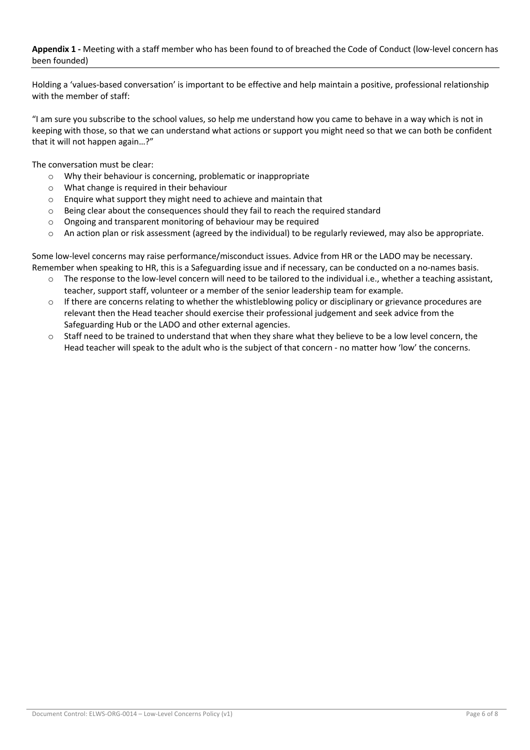# **Appendix 1 -** Meeting with a staff member who has been found to of breached the Code of Conduct (low-level concern has been founded)

Holding a 'values-based conversation' is important to be effective and help maintain a positive, professional relationship with the member of staff:

"I am sure you subscribe to the school values, so help me understand how you came to behave in a way which is not in keeping with those, so that we can understand what actions or support you might need so that we can both be confident that it will not happen again…?"

The conversation must be clear:

- o Why their behaviour is concerning, problematic or inappropriate
- o What change is required in their behaviour
- o Enquire what support they might need to achieve and maintain that
- $\circ$  Being clear about the consequences should they fail to reach the required standard
- o Ongoing and transparent monitoring of behaviour may be required
- o An action plan or risk assessment (agreed by the individual) to be regularly reviewed, may also be appropriate.

Some low-level concerns may raise performance/misconduct issues. Advice from HR or the LADO may be necessary. Remember when speaking to HR, this is a Safeguarding issue and if necessary, can be conducted on a no-names basis.

- $\circ$  The response to the low-level concern will need to be tailored to the individual i.e., whether a teaching assistant, teacher, support staff, volunteer or a member of the senior leadership team for example.
- $\circ$  If there are concerns relating to whether the whistleblowing policy or disciplinary or grievance procedures are relevant then the Head teacher should exercise their professional judgement and seek advice from the Safeguarding Hub or the LADO and other external agencies.
- o Staff need to be trained to understand that when they share what they believe to be a low level concern, the Head teacher will speak to the adult who is the subject of that concern - no matter how 'low' the concerns.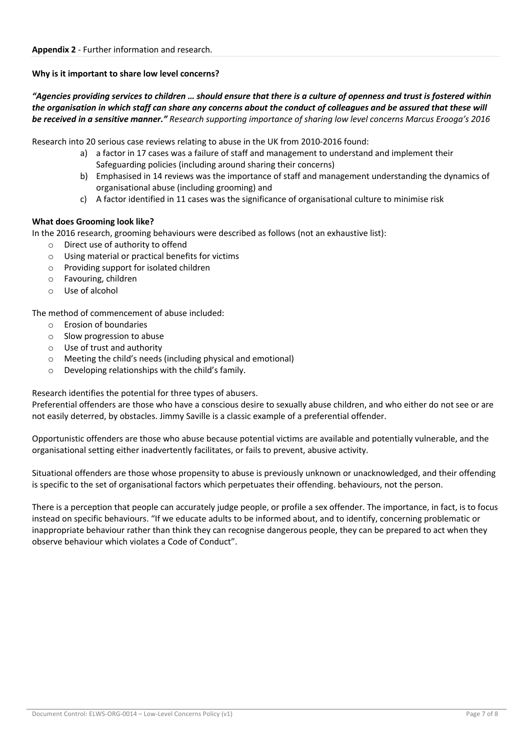# **Why is it important to share low level concerns?**

# *"Agencies providing services to children … should ensure that there is a culture of openness and trust is fostered within the organisation in which staff can share any concerns about the conduct of colleagues and be assured that these will be received in a sensitive manner." Research supporting importance of sharing low level concerns Marcus Erooga's 2016*

Research into 20 serious case reviews relating to abuse in the UK from 2010-2016 found:

- a) a factor in 17 cases was a failure of staff and management to understand and implement their Safeguarding policies (including around sharing their concerns)
- b) Emphasised in 14 reviews was the importance of staff and management understanding the dynamics of organisational abuse (including grooming) and
- c) A factor identified in 11 cases was the significance of organisational culture to minimise risk

# **What does Grooming look like?**

In the 2016 research, grooming behaviours were described as follows (not an exhaustive list):

- o Direct use of authority to offend
- o Using material or practical benefits for victims
- o Providing support for isolated children
- o Favouring, children
- o Use of alcohol

The method of commencement of abuse included:

- o Erosion of boundaries
- o Slow progression to abuse
- o Use of trust and authority
- o Meeting the child's needs (including physical and emotional)
- o Developing relationships with the child's family.

# Research identifies the potential for three types of abusers.

Preferential offenders are those who have a conscious desire to sexually abuse children, and who either do not see or are not easily deterred, by obstacles. Jimmy Saville is a classic example of a preferential offender.

Opportunistic offenders are those who abuse because potential victims are available and potentially vulnerable, and the organisational setting either inadvertently facilitates, or fails to prevent, abusive activity.

Situational offenders are those whose propensity to abuse is previously unknown or unacknowledged, and their offending is specific to the set of organisational factors which perpetuates their offending. behaviours, not the person.

There is a perception that people can accurately judge people, or profile a sex offender. The importance, in fact, is to focus instead on specific behaviours. "If we educate adults to be informed about, and to identify, concerning problematic or inappropriate behaviour rather than think they can recognise dangerous people, they can be prepared to act when they observe behaviour which violates a Code of Conduct".